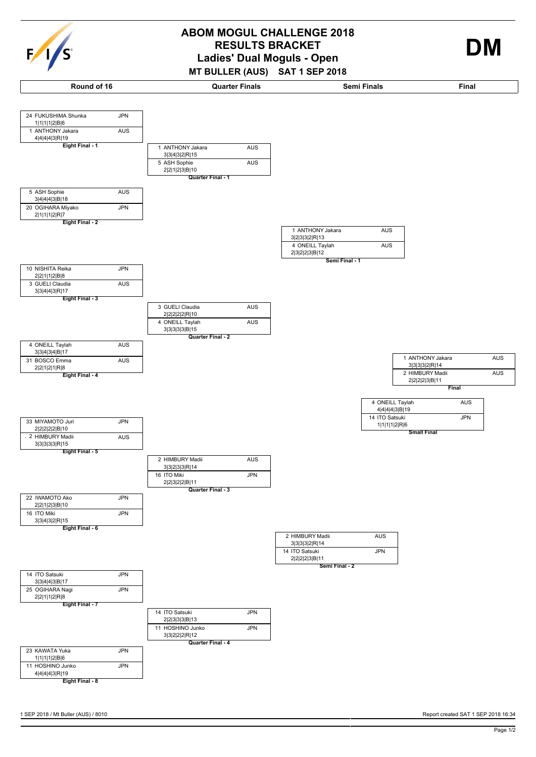| c<br>э<br>o |  |
|-------------|--|



**MT BULLER (AUS) SAT 1 SEP 2018**

**Round of 16 Quarter Finals Semi Finals Final**

**Quarter Final - 1**

5 ASH Sophie AUS

1 ANTHONY Jakara AUS

3|3|4|3|2|R|15

2|2|1|2|3|B|10



1|1|1|1|2|B|6

4|4|4|4|3|R|19

**Eight Final - 1**

1 ANTHONY Jakara AUS

24 FUKUSHIMA Shunka JPN